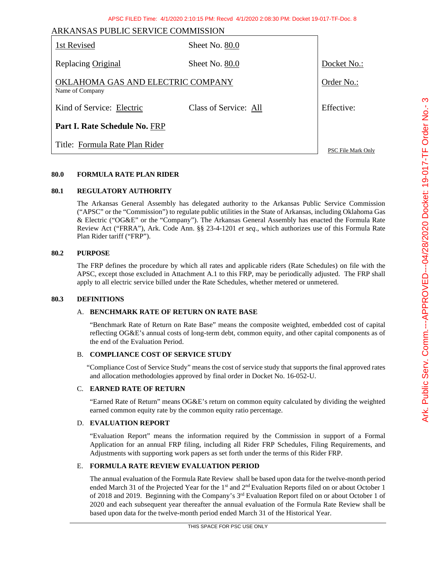| ARKANSAS PUBLIC SERVICE COMMISSION                   |                       |                    |  |
|------------------------------------------------------|-----------------------|--------------------|--|
| 1st Revised                                          | Sheet No. 80.0        |                    |  |
| Replacing Original                                   | Sheet No. 80.0        | Docket No.:        |  |
| OKLAHOMA GAS AND ELECTRIC COMPANY<br>Name of Company |                       | Order No.:         |  |
| Kind of Service: Electric                            | Class of Service: All | Effective:         |  |
| Part I. Rate Schedule No. FRP                        |                       |                    |  |
| Title: Formula Rate Plan Rider                       |                       | PSC File Mark Only |  |

## **80.0 FORMULA RATE PLAN RIDER**

#### **80.1 REGULATORY AUTHORITY**

The Arkansas General Assembly has delegated authority to the Arkansas Public Service Commission ("APSC" or the "Commission") to regulate public utilities in the State of Arkansas, including Oklahoma Gas & Electric ("OG&E" or the "Company"). The Arkansas General Assembly has enacted the Formula Rate Review Act ("FRRA"), Ark. Code Ann. §§ 23-4-1201 *et seq*., which authorizes use of this Formula Rate Plan Rider tariff ("FRP").

#### **80.2 PURPOSE**

The FRP defines the procedure by which all rates and applicable riders (Rate Schedules) on file with the APSC, except those excluded in Attachment A.1 to this FRP, may be periodically adjusted. The FRP shall apply to all electric service billed under the Rate Schedules, whether metered or unmetered.

## **80.3 DEFINITIONS**

## A. **BENCHMARK RATE OF RETURN ON RATE BASE**

"Benchmark Rate of Return on Rate Base" means the composite weighted, embedded cost of capital reflecting OG&E's annual costs of long-term debt, common equity, and other capital components as of the end of the Evaluation Period.

## B. **COMPLIANCE COST OF SERVICE STUDY**

"Compliance Cost of Service Study" means the cost of service study that supports the final approved rates and allocation methodologies approved by final order in Docket No. 16-052-U.

## C. **EARNED RATE OF RETURN**

"Earned Rate of Return" means OG&E's return on common equity calculated by dividing the weighted earned common equity rate by the common equity ratio percentage.

#### D. **EVALUATION REPORT**

"Evaluation Report" means the information required by the Commission in support of a Formal Application for an annual FRP filing, including all Rider FRP Schedules, Filing Requirements, and Adjustments with supporting work papers as set forth under the terms of this Rider FRP.

## E. **FORMULA RATE REVIEW EVALUATION PERIOD**

The annual evaluation of the Formula Rate Review shall be based upon data for the twelve-month period ended March 31 of the Projected Year for the 1<sup>st</sup> and 2<sup>nd</sup> Evaluation Reports filed on or about October 1 of 2018 and 2019. Beginning with the Company's 3rd Evaluation Report filed on or about October 1 of 2020 and each subsequent year thereafter the annual evaluation of the Formula Rate Review shall be based upon data for the twelve-month period ended March 31 of the Historical Year.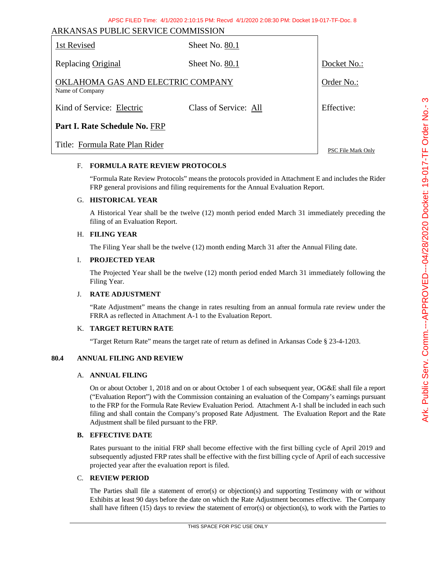| ARKANSAS PUBLIC SERVICE COMMISSION                   |                       |                    |  |
|------------------------------------------------------|-----------------------|--------------------|--|
| 1st Revised                                          | Sheet No. 80.1        |                    |  |
| Replacing Original                                   | Sheet No. 80.1        | Docket No.:        |  |
| OKLAHOMA GAS AND ELECTRIC COMPANY<br>Name of Company |                       | Order No.:         |  |
| Kind of Service: Electric                            | Class of Service: All | Effective:         |  |
| Part I. Rate Schedule No. FRP                        |                       |                    |  |
| Title: Formula Rate Plan Rider                       |                       | PSC File Mark Only |  |

# F. **FORMULA RATE REVIEW PROTOCOLS**

"Formula Rate Review Protocols" means the protocols provided in Attachment E and includes the Rider FRP general provisions and filing requirements for the Annual Evaluation Report.

## G. **HISTORICAL YEAR**

A Historical Year shall be the twelve (12) month period ended March 31 immediately preceding the filing of an Evaluation Report.

## H. **FILING YEAR**

The Filing Year shall be the twelve (12) month ending March 31 after the Annual Filing date.

## I. **PROJECTED YEAR**

The Projected Year shall be the twelve (12) month period ended March 31 immediately following the Filing Year.

## J. **RATE ADJUSTMENT**

"Rate Adjustment" means the change in rates resulting from an annual formula rate review under the FRRA as reflected in Attachment A-1 to the Evaluation Report.

## K. **TARGET RETURN RATE**

"Target Return Rate" means the target rate of return as defined in Arkansas Code § 23-4-1203.

## **80.4 ANNUAL FILING AND REVIEW**

## A. **ANNUAL FILING**

On or about October 1, 2018 and on or about October 1 of each subsequent year, OG&E shall file a report ("Evaluation Report") with the Commission containing an evaluation of the Company's earnings pursuant to the FRP for the Formula Rate Review Evaluation Period. Attachment A-1 shall be included in each such filing and shall contain the Company's proposed Rate Adjustment. The Evaluation Report and the Rate Adjustment shall be filed pursuant to the FRP.

# **B. EFFECTIVE DATE**

Rates pursuant to the initial FRP shall become effective with the first billing cycle of April 2019 and subsequently adjusted FRP rates shall be effective with the first billing cycle of April of each successive projected year after the evaluation report is filed.

## C. **REVIEW PERIOD**

The Parties shall file a statement of error(s) or objection(s) and supporting Testimony with or without Exhibits at least 90 days before the date on which the Rate Adjustment becomes effective. The Company shall have fifteen  $(15)$  days to review the statement of error(s) or objection(s), to work with the Parties to

THIS SPACE FOR PSC USE ONLY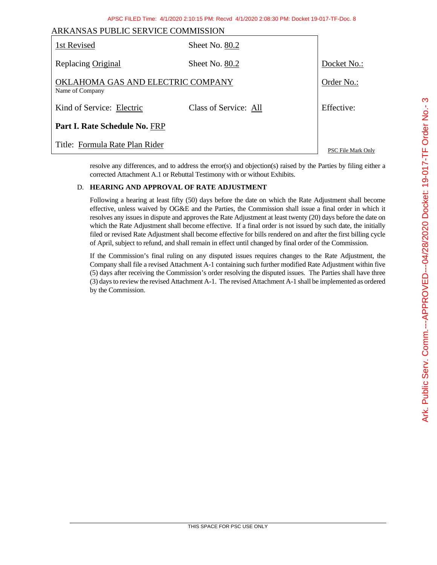| ARKANSAS PUBLIC SERVICE COMMISSION                   |                       |                    |  |
|------------------------------------------------------|-----------------------|--------------------|--|
| 1st Revised                                          | Sheet No. 80.2        |                    |  |
| Replacing Original                                   | Sheet No. 80.2        | Docket No.:        |  |
| OKLAHOMA GAS AND ELECTRIC COMPANY<br>Name of Company |                       | Order No.:         |  |
| Kind of Service: Electric                            | Class of Service: All | Effective:         |  |
| Part I. Rate Schedule No. FRP                        |                       |                    |  |
| Title: Formula Rate Plan Rider                       |                       | PSC File Mark Only |  |

resolve any differences, and to address the error(s) and objection(s) raised by the Parties by filing either a corrected Attachment A.1 or Rebuttal Testimony with or without Exhibits.

## D. **HEARING AND APPROVAL OF RATE ADJUSTMENT**

Following a hearing at least fifty (50) days before the date on which the Rate Adjustment shall become effective, unless waived by OG&E and the Parties, the Commission shall issue a final order in which it resolves any issues in dispute and approves the Rate Adjustment at least twenty (20) days before the date on which the Rate Adjustment shall become effective. If a final order is not issued by such date, the initially filed or revised Rate Adjustment shall become effective for bills rendered on and after the first billing cycle of April, subject to refund, and shall remain in effect until changed by final order of the Commission.

If the Commission's final ruling on any disputed issues requires changes to the Rate Adjustment, the Company shall file a revised Attachment A-1 containing such further modified Rate Adjustment within five (5) days after receiving the Commission's order resolving the disputed issues. The Parties shall have three (3) days to review the revised Attachment A-1. The revised Attachment A-1 shall be implemented as ordered by the Commission.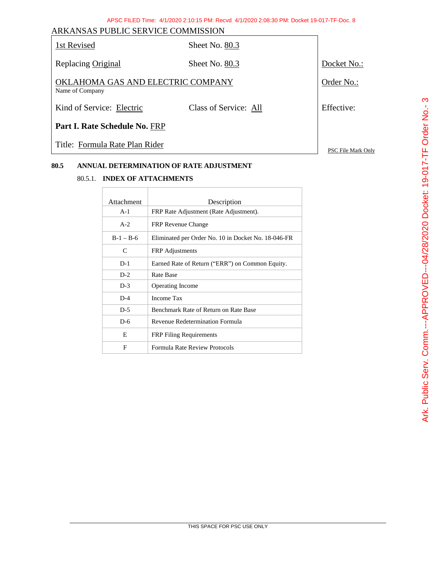# ARKANSAS PUBLIC SERVICE COMMISSION 1st Revised Sheet No. 80.3 Replacing Original Sheet No. 80.3 Docket No.: OKLAHOMA GAS AND ELECTRIC COMPANY Name of Company Order No.: Kind of Service: Electric Class of Service: All Effective: **Part I. Rate Schedule No.** FRP Title: Formula Rate Plan Rider PSC File Mark Only

# **80.5 ANNUAL DETERMINATION OF RATE ADJUSTMENT**

## 80.5.1. **INDEX OF ATTACHMENTS**

| Attachment    | Description                                         |
|---------------|-----------------------------------------------------|
| $A-1$         | FRP Rate Adjustment (Rate Adjustment).              |
| $A-2$         | <b>FRP</b> Revenue Change                           |
| $B-1 - B-6$   | Eliminated per Order No. 10 in Docket No. 18-046-FR |
| $\mathcal{C}$ | <b>FRP</b> Adjustments                              |
| $D-1$         | Earned Rate of Return ("ERR") on Common Equity.     |
| $D-2$         | Rate Base                                           |
| $D-3$         | <b>Operating Income</b>                             |
| $D-4$         | Income Tax                                          |
| $D-5$         | Benchmark Rate of Return on Rate Base               |
| $D-6$         | Revenue Redetermination Formula                     |
| E             | <b>FRP</b> Filing Requirements                      |
| F             | Formula Rate Review Protocols                       |